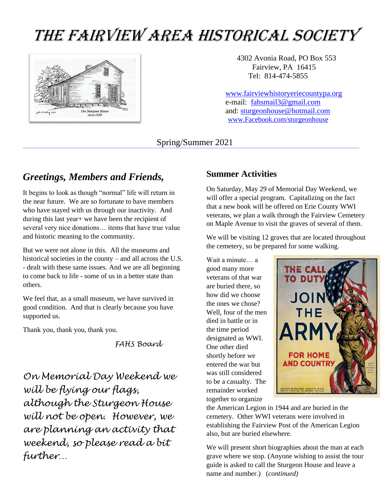# THE FAIRVIEW AREA HISTORICAL SOCIETY



4302 Avonia Road, PO Box 553 Fairview, PA 16415 Tel: 814-474-5855

 [www.fairviewhistoryeriecountypa.org](http://www.fairviewhistoryeriecountypa.org/) e-mail: [fahsmail3@gmail.com](mailto:fahsmail3@gmail.com/) and: [sturgeonhouse@hotmail.com](mailto:sturgeonhouse@hotmail.com) [www.Facebook.com/sturgeonhouse](http://www.facebook.com/sturgeonhouse)

Spring/Summer 2021

## *Greetings, Members and Friends,*

It begins to look as though "normal" life will return in the near future. We are so fortunate to have members who have stayed with us through our inactivity. And during this last year+ we have been the recipient of several very nice donations… items that have true value and historic meaning to the community.

But we were not alone in this. All the museums and historical societies in the county – and all across the U.S. - dealt with these same issues. And we are all beginning to come back to life - some of us in a better state than others.

We feel that, as a small museum, we have survived in good condition. And that is clearly because you have supported us.

Thank you, thank you, thank you.

*FAHS Board*

*On Memorial Day Weekend we will be flying our flags, although the Sturgeon House will not be open. However, we are planning an activity that weekend, so please read a bit further…*

#### **Summer Activities**

On Saturday, May 29 of Memorial Day Weekend, we will offer a special program. Capitalizing on the fact that a new book will be offered on Erie County WWI veterans, we plan a walk through the Fairview Cemetery on Maple Avenue to visit the graves of several of them.

We will be visiting 12 graves that are located throughout the cemetery, so be prepared for some walking.

Wait a minute… a good many more veterans of that war are buried there, so how did we choose the ones we chose? Well, four of the men died in battle or in the time period designated as WWI. One other died shortly before we entered the war but was still considered to be a casualty. The remainder worked together to organize



the American Legion in 1944 and are buried in the cemetery. Other WWI veterans were involved in establishing the Fairview Post of the American Legion also, but are buried elsewhere.

We will present short biographies about the man at each grave where we stop. (Anyone wishing to assist the tour guide is asked to call the Sturgeon House and leave a name and number.) (*continued)*